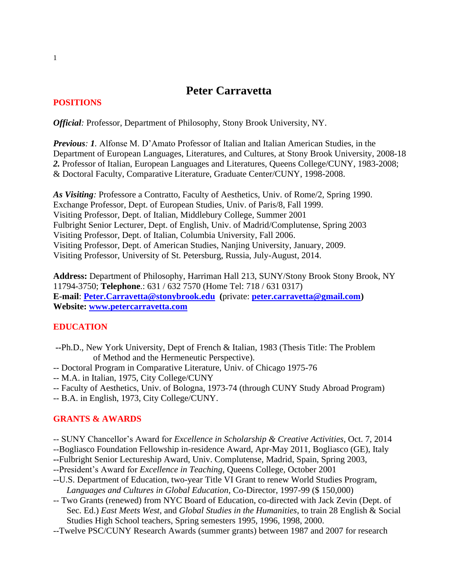# **Peter Carravetta**

### **POSITIONS**

*Official:* Professor, Department of Philosophy, Stony Brook University, NY.

*Previous: 1.* Alfonse M. D'Amato Professor of Italian and Italian American Studies, in the Department of European Languages, Literatures, and Cultures, at Stony Brook University, 2008-18 *2.* Professor of Italian, European Languages and Literatures, Queens College/CUNY, 1983-2008; & Doctoral Faculty, Comparative Literature, Graduate Center/CUNY, 1998-2008.

*As Visiting:* Professore a Contratto, Faculty of Aesthetics, Univ. of Rome/2, Spring 1990. Exchange Professor, Dept. of European Studies, Univ. of Paris/8, Fall 1999. Visiting Professor, Dept. of Italian, Middlebury College, Summer 2001 Fulbright Senior Lecturer, Dept. of English, Univ. of Madrid/Complutense, Spring 2003 Visiting Professor, Dept. of Italian, Columbia University, Fall 2006. Visiting Professor, Dept. of American Studies, Nanjing University, January, 2009. Visiting Professor, University of St. Petersburg, Russia, July-August, 2014.

**Address:** Department of Philosophy, Harriman Hall 213, SUNY/Stony Brook Stony Brook, NY 11794-3750; **Telephone**.: 631 / 632 7570 (Home Tel: 718 / 631 0317) **E-mail**: **[Peter.Carravetta@stonybrook.edu](mailto:Peter.Carravetta@qc.cuny.edu) (**private: **[peter.carravetta@gmail.com\)](mailto:peter.carravetta@gmail.com) Website: [www.petercarravetta.com](http://www.petercarravetta.com/)**

#### **EDUCATION**

- **--**Ph.D., New York University, Dept of French & Italian, 1983 (Thesis Title: The Problem of Method and the Hermeneutic Perspective).
- -- Doctoral Program in Comparative Literature, Univ. of Chicago 1975-76
- -- M.A. in Italian, 1975, City College/CUNY
- -- Faculty of Aesthetics, Univ. of Bologna, 1973-74 (through CUNY Study Abroad Program)
- -- B.A. in English, 1973, City College/CUNY.

## **GRANTS & AWARDS**

- -- SUNY Chancellor's Award for *Excellence in Scholarship & Creative Activities*, Oct. 7, 2014
- --Bogliasco Foundation Fellowship in-residence Award, Apr-May 2011, Bogliasco (GE), Italy
- **--**Fulbright Senior Lectureship Award, Univ. Complutense, Madrid, Spain, Spring 2003,
- --President's Award for *Excellence in Teaching*, Queens College, October 2001
- --U.S. Department of Education, two-year Title VI Grant to renew World Studies Program, *Languages and Cultures in Global Education*, Co-Director, 1997-99 (\$ 150,000)
- -- Two Grants (renewed) from NYC Board of Education, co-directed with Jack Zevin (Dept. of Sec. Ed.) *East Meets West*, and *Global Studies in the Humanities*, to train 28 English & Social Studies High School teachers, Spring semesters 1995, 1996, 1998, 2000.
- --Twelve PSC/CUNY Research Awards (summer grants) between 1987 and 2007 for research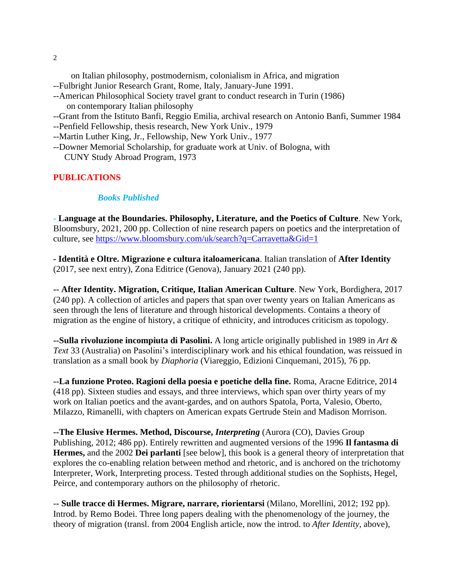on Italian philosophy, postmodernism, colonialism in Africa, and migration --Fulbright Junior Research Grant, Rome, Italy, January-June 1991. --American Philosophical Society travel grant to conduct research in Turin (1986) on contemporary Italian philosophy --Grant from the Istituto Banfi, Reggio Emilia, archival research on Antonio Banfi, Summer 1984 --Penfield Fellowship, thesis research, New York Univ., 1979 --Martin Luther King, Jr., Fellowship, New York Univ., 1977

--Downer Memorial Scholarship, for graduate work at Univ. of Bologna, with CUNY Study Abroad Program, 1973

#### **PUBLICATIONS**

#### *Books Published*

- **Language at the Boundaries. Philosophy, Literature, and the Poetics of Culture**. New York, Bloomsbury, 2021, 200 pp. Collection of nine research papers on poetics and the interpretation of culture, see<https://www.bloomsbury.com/uk/search?q=Carravetta&Gid=1>

**- Identità e Oltre. Migrazione e cultura italoamericana**. Italian translation of **After Identity** (2017, see next entry), Zona Editrice (Genova), January 2021 (240 pp).

**-- After Identity. Migration, Critique, Italian American Culture**. New York, Bordighera, 2017 (240 pp). A collection of articles and papers that span over twenty years on Italian Americans as seen through the lens of literature and through historical developments. Contains a theory of migration as the engine of history, a critique of ethnicity, and introduces criticism as topology.

**--Sulla rivoluzione incompiuta di Pasolini.** A long article originally published in 1989 in *Art & Text* 33 (Australia) on Pasolini's interdisciplinary work and his ethical foundation, was reissued in translation as a small book by *Diaphoria* (Viareggio, Edizioni Cinquemani, 2015), 76 pp.

**--La funzione Proteo. Ragioni della poesia e poetiche della fine.** Roma, Aracne Editrice, 2014 (418 pp). Sixteen studies and essays, and three interviews, which span over thirty years of my work on Italian poetics and the avant-gardes, and on authors Spatola, Porta, Valesio, Oberto, Milazzo, Rimanelli, with chapters on American expats Gertrude Stein and Madison Morrison.

**--The Elusive Hermes. Method, Discourse,** *Interpreting* (Aurora (CO), Davies Group Publishing, 2012; 486 pp). Entirely rewritten and augmented versions of the 1996 **Il fantasma di Hermes,** and the 2002 **Dei parlanti** [see below], this book is a general theory of interpretation that explores the co-enabling relation between method and rhetoric, and is anchored on the trichotomy Interpreter, Work, Interpreting process. Tested through additional studies on the Sophists, Hegel, Peirce, and contemporary authors on the philosophy of rhetoric.

-**- Sulle tracce di Hermes. Migrare, narrare, riorientarsi** (Milano, Morellini, 2012; 192 pp). Introd. by Remo Bodei. Three long papers dealing with the phenomenology of the journey, the theory of migration (transl. from 2004 English article, now the introd. to *After Identity*, above),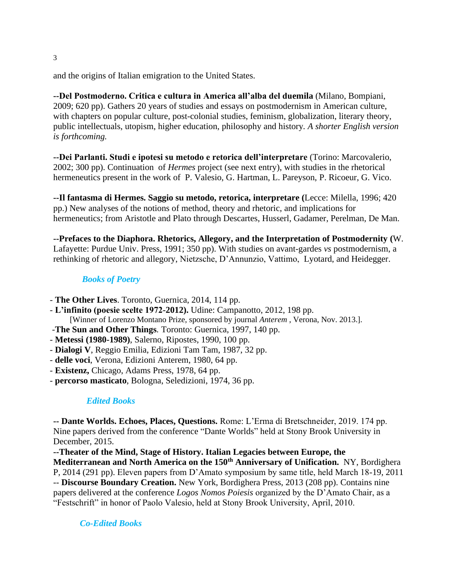and the origins of Italian emigration to the United States.

**--Del Postmoderno. Critica e cultura in America all'alba del duemila** (Milano, Bompiani, 2009; 620 pp). Gathers 20 years of studies and essays on postmodernism in American culture, with chapters on popular culture, post-colonial studies, feminism, globalization, literary theory, public intellectuals, utopism, higher education, philosophy and history*. A shorter English version is forthcoming.*

**--Dei Parlanti. Studi e ipotesi su metodo e retorica dell'interpretare** (Torino: Marcovalerio, 2002; 300 pp). Continuation of *Hermes* project (see next entry), with studies in the rhetorical hermeneutics present in the work of P. Valesio, G. Hartman, L. Pareyson, P. Ricoeur, G. Vico.

**--Il fantasma di Hermes. Saggio su metodo, retorica, interpretare (**Lecce: Milella, 1996; 420 pp.) New analyses of the notions of method, theory and rhetoric, and implications for hermeneutics; from Aristotle and Plato through Descartes, Husserl, Gadamer, Perelman, De Man.

**--Prefaces to the Diaphora. Rhetorics, Allegory, and the Interpretation of Postmodernity (**W. Lafayette: Purdue Univ. Press, 1991; 350 pp). With studies on avant-gardes *vs* postmodernism, a rethinking of rhetoric and allegory, Nietzsche, D'Annunzio, Vattimo, Lyotard, and Heidegger.

## *Books of Poetry*

- **The Other Lives**. Toronto, Guernica, 2014, 114 pp.
- **L'infinito (poesie scelte 1972-2012).** Udine: Campanotto, 2012, 198 pp. [Winner of Lorenzo Montano Prize, sponsored by journal *Anterem* , Verona, Nov. 2013.].
- -**The Sun and Other Things***.* Toronto: Guernica, 1997, 140 pp.
- **Metessi (1980-1989)**, Salerno, Ripostes, 1990, 100 pp.
- **Dialogi V**, Reggio Emilia, Edizioni Tam Tam, 1987, 32 pp.
- **delle voci**, Verona, Edizioni Anterem, 1980, 64 pp.
- **Existenz,** Chicago, Adams Press, 1978, 64 pp.
- **percorso masticato**, Bologna, Seledizioni, 1974, 36 pp.

## *Edited Books*

**-- Dante Worlds. Echoes, Places, Questions.** Rome: L'Erma di Bretschneider, 2019. 174 pp. Nine papers derived from the conference "Dante Worlds" held at Stony Brook University in December, 2015.

**--Theater of the Mind, Stage of History. Italian Legacies between Europe, the Mediterranean and North America on the 150th Anniversary of Unification.** NY, Bordighera P, 2014 (291 pp). Eleven papers from D'Amato symposium by same title, held March 18-19, 2011 -- **Discourse Boundary Creation.** New York, Bordighera Press, 2013 (208 pp). Contains nine papers delivered at the conference *Logos Nomos Poiesis* organized by the D'Amato Chair, as a "Festschrift" in honor of Paolo Valesio, held at Stony Brook University, April, 2010.

 *Co-Edited Books*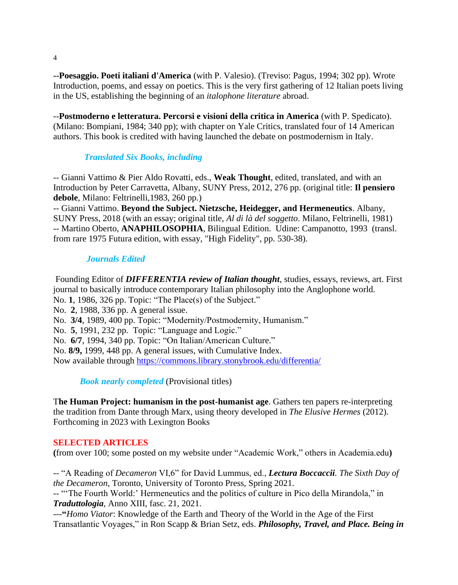**--Poesaggio. Poeti italiani d'America** (with P. Valesio). (Treviso: Pagus, 1994; 302 pp). Wrote Introduction, poems, and essay on poetics. This is the very first gathering of 12 Italian poets living in the US, establishing the beginning of an *italophone literature* abroad.

--**Postmoderno e letteratura. Percorsi e visioni della critica in America** (with P. Spedicato). (Milano: Bompiani, 1984; 340 pp); with chapter on Yale Critics, translated four of 14 American authors. This book is credited with having launched the debate on postmodernism in Italy.

## *Translated Six Books, including*

-- Gianni Vattimo & Pier Aldo Rovatti, eds., **Weak Thought**, edited, translated, and with an Introduction by Peter Carravetta, Albany, SUNY Press, 2012, 276 pp. (original title: **Il pensiero debole**, Milano: Feltrinelli,1983, 260 pp.)

-- Gianni Vattimo. **Beyond the Subject. Nietzsche, Heidegger, and Hermeneutics**. Albany, SUNY Press, 2018 (with an essay; original title, *Al di là del soggetto*. Milano, Feltrinelli, 1981) -- Martino Oberto, **ANAPHILOSOPHIA**, Bilingual Edition. Udine: Campanotto, 1993 (transl. from rare 1975 Futura edition, with essay, "High Fidelity", pp. 530-38).

#### *Journals Edited*

Founding Editor of *DIFFERENTIA review of Italian thought*, studies, essays, reviews, art. First journal to basically introduce contemporary Italian philosophy into the Anglophone world. No. **1**, 1986, 326 pp. Topic: "The Place(s) of the Subject." No. **2**, 1988, 336 pp. A general issue. No. **3/4**, 1989, 400 pp. Topic: "Modernity/Postmodernity, Humanism." No. **5**, 1991, 232 pp. Topic: "Language and Logic." No. **6/7**, 1994, 340 pp. Topic: "On Italian/American Culture." No. **8/9,** 1999, 448 pp. A general issues, with Cumulative Index. Now available through<https://commons.library.stonybrook.edu/differentia/>

*Book nearly completed* (Provisional titles)

T**he Human Project: humanism in the post-humanist age**. Gathers ten papers re-interpreting the tradition from Dante through Marx, using theory developed in *The Elusive Hermes* (2012). Forthcoming in 2023 with Lexington Books

#### **SELECTED ARTICLES**

**(**from over 100; some posted on my website under "Academic Work," others in Academia.edu**)**

-- "A Reading of *Decameron* VI,6" for David Lummus, ed., *Lectura Boccaccii. The Sixth Day of the Decameron*, Toronto, University of Toronto Press, Spring 2021.

-- "'The Fourth World:' Hermeneutics and the politics of culture in Pico della Mirandola," in *Traduttologia*, Anno XIII, fasc. 21, 2021.

---**"***Homo Viator*: Knowledge of the Earth and Theory of the World in the Age of the First Transatlantic Voyages," in Ron Scapp & Brian Setz, eds. *Philosophy, Travel, and Place. Being in* 

4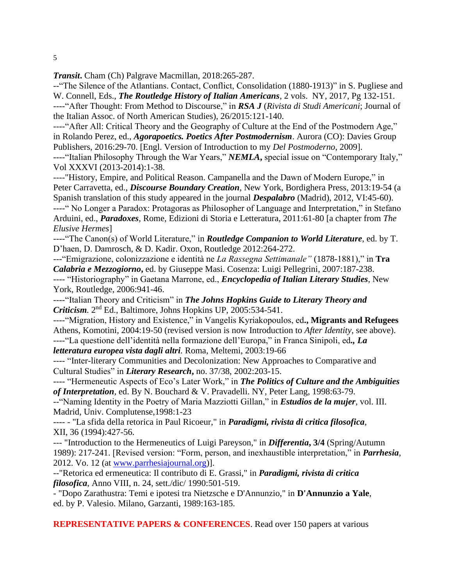*Transit***.** Cham (Ch) Palgrave Macmillan, 2018:265-287.

--"The Silence of the Atlantians. Contact, Conflict, Consolidation (1880-1913)" in S. Pugliese and W. Connell, Eds., *The Routledge History of Italian Americans*, 2 vols. NY, 2017, Pg 132-151. ----"After Thought: From Method to Discourse," in *RSA J* (*Rivista di Studi Americani*; Journal of the Italian Assoc. of North American Studies), 26/2015:121-140.

----"After All: Critical Theory and the Geography of Culture at the End of the Postmodern Age," in Rolando Perez, ed., *Agorapoetics. Poetics After Postmodernism*. Aurora (CO): Davies Group Publishers, 2016:29-70. [Engl. Version of Introduction to my *Del Postmoderno*, 2009].

----"Italian Philosophy Through the War Years," *NEMLA***,** special issue on "Contemporary Italy," Vol XXXVI (2013-2014):1-38.

----"History, Empire, and Political Reason. Campanella and the Dawn of Modern Europe," in Peter Carravetta, ed., *Discourse Boundary Creation*, New York, Bordighera Press, 2013:19-54 (a Spanish translation of this study appeared in the journal *Despalabro* (Madrid), 2012, VI:45-60).

----" No Longer a Paradox: Protagoras as Philosopher of Language and Interpretation," in Stefano Arduini, ed., *Paradoxes*, Rome, Edizioni di Storia e Letteratura, 2011:61-80 [a chapter from *The Elusive Hermes*]

----"The Canon(s) of World Literature," in *Routledge Companion to World Literature*, ed. by T. D'haen, D. Damrosch, & D. Kadir. Oxon, Routledge 2012:264-272.

---"Emigrazione, colonizzazione e identità ne *La Rassegna Settimanale"* (1878-1881)," in **Tra**  *Calabria e Mezzogiorno***,** ed. by Giuseppe Masi. Cosenza: Luigi Pellegrini, 2007:187-238.

---- "Historiography" in Gaetana Marrone, ed., *Encyclopedia of Italian Literary Studies*, New York, Routledge, 2006:941-46.

----"Italian Theory and Criticism" in *The Johns Hopkins Guide to Literary Theory and Criticism.* 2 nd Ed., Baltimore, Johns Hopkins UP, 2005:534-541.

----"Migration, History and Existence," in Vangelis Kyriakopoulos, ed**., Migrants and Refugees** Athens, Komotini, 2004:19-50 (revised version is now Introduction to *After Identity*, see above). ----"La questione dell'identità nella formazione dell'Europa," in Franca Sinipoli, ed*., La letteratura europea vista dagli altri.* Roma, Meltemi, 2003:19-66

---- "Inter-literary Communities and Decolonization: New Approaches to Comparative and Cultural Studies" in *Literary Research***,** no. 37/38, 2002:203-15.

---- "Hermeneutic Aspects of Eco's Later Work," in *The Politics of Culture and the Ambiguities of Interpretation,* ed. By N. Bouchard & V. Pravadelli. NY, Peter Lang, 1998:63-79.

--"Naming Identity in the Poetry of Maria Mazziotti Gillan," in *Estudios de la mujer*, vol. III. Madrid, Univ. Complutense,1998:1-23

---- - "La sfida della retorica in Paul Ricoeur," in *Paradigmi, rivista di critica filosofica*, XII, 36 (1994):427-56.

--- "Introduction to the Hermeneutics of Luigi Pareyson," in *Differentia***, 3/4** (Spring/Autumn 1989): 217-241. [Revised version: "Form, person, and inexhaustible interpretation," in *Parrhesia*, 2012. Vo. 12 (at [www.parrhesiajournal.org\)](http://www.parrhesiajournal.org/)].

--"Retorica ed ermeneutica: Il contributo di E. Grassi," in *Paradigmi, rivista di critica filosofica*, Anno VIII, n. 24, sett./dic/ 1990:501-519.

- "Dopo Zarathustra: Temi e ipotesi tra Nietzsche e D'Annunzio," in **D'Annunzio a Yale**, ed. by P. Valesio. Milano, Garzanti, 1989:163-185.

**REPRESENTATIVE PAPERS & CONFERENCES**. Read over 150 papers at various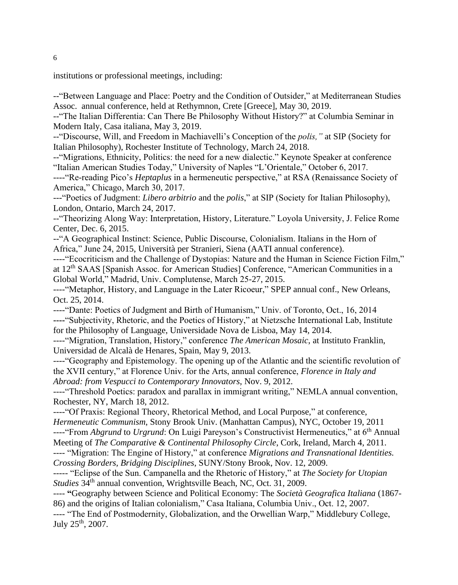institutions or professional meetings, including:

--"Between Language and Place: Poetry and the Condition of Outsider," at Mediterranean Studies Assoc. annual conference, held at Rethymnon, Crete [Greece], May 30, 2019.

--"The Italian Differentia: Can There Be Philosophy Without History?" at Columbia Seminar in Modern Italy, Casa italiana, May 3, 2019.

--"Discourse, Will, and Freedom in Machiavelli's Conception of the *polis,"* at SIP (Society for Italian Philosophy), Rochester Institute of Technology, March 24, 2018.

--"Migrations, Ethnicity, Politics: the need for a new dialectic." Keynote Speaker at conference "Italian American Studies Today," University of Naples "L'Orientale," October 6, 2017.

----"Re-reading Pico's *Heptaplus* in a hermeneutic perspective," at RSA (Renaissance Society of America," Chicago, March 30, 2017.

---"Poetics of Judgment: *Libero arbitrio* and the *polis*," at SIP (Society for Italian Philosophy), London, Ontario, March 24, 2017.

--"Theorizing Along Way: Interpretation, History, Literature." Loyola University, J. Felice Rome Center, Dec. 6, 2015.

--"A Geographical Instinct: Science, Public Discourse, Colonialism. Italians in the Horn of Africa," June 24, 2015, Università per Stranieri, Siena (AATI annual conference).

----"Ecocriticism and the Challenge of Dystopias: Nature and the Human in Science Fiction Film," at 12th SAAS [Spanish Assoc. for American Studies] Conference, "American Communities in a Global World," Madrid, Univ. Complutense, March 25-27, 2015.

----"Metaphor, History, and Language in the Later Ricoeur," SPEP annual conf., New Orleans, Oct. 25, 2014.

----"Dante: Poetics of Judgment and Birth of Humanism," Univ. of Toronto, Oct., 16, 2014 **----**"Subjectivity, Rhetoric, and the Poetics of History," at Nietzsche International Lab, Institute for the Philosophy of Language, Universidade Nova de Lisboa, May 14, 2014.

----"Migration, Translation, History," conference *The American Mosaic*, at Instituto Franklin, Universidad de Alcalà de Henares, Spain, May 9, 2013.

----"Geography and Epistemology. The opening up of the Atlantic and the scientific revolution of the XVII century," at Florence Univ. for the Arts, annual conference, *Florence in Italy and Abroad: from Vespucci to Contemporary Innovators*, Nov. 9, 2012.

----"Threshold Poetics: paradox and parallax in immigrant writing," NEMLA annual convention, Rochester, NY, March 18, 2012.

----"Of Praxis: Regional Theory, Rhetorical Method, and Local Purpose," at conference, *Hermeneutic Communism*, Stony Brook Univ. (Manhattan Campus), NYC, October 19, 2011 ----"From *Abgrund* to *Urgrund*: On Luigi Pareyson's Constructivist Hermeneutics," at 6th Annual

Meeting of *The Comparative & Continental Philosophy Circle*, Cork, Ireland, March 4, 2011.

---- "Migration: The Engine of History," at conference *Migrations and Transnational Identities. Crossing Borders, Bridging Disciplines*, SUNY/Stony Brook, Nov. 12, 2009.

----- "Eclipse of the Sun. Campanella and the Rhetoric of History," at *The Society for Utopian Studies* 34th annual convention, Wrightsville Beach, NC, Oct. 31, 2009.

---- **"**Geography between Science and Political Economy: The *Società Geografica Italiana* (1867- 86) and the origins of Italian colonialism," Casa Italiana, Columbia Univ., Oct. 12, 2007.

---- "The End of Postmodernity, Globalization, and the Orwellian Warp," Middlebury College, July 25th, 2007.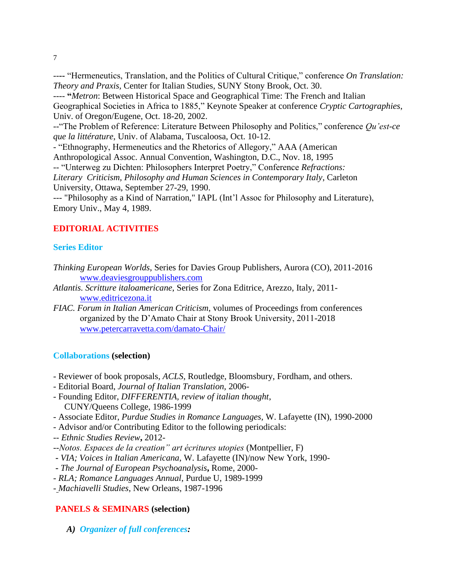--**--** "Hermeneutics, Translation, and the Politics of Cultural Critique," conference *On Translation: Theory and Praxis,* Center for Italian Studies, SUNY Stony Brook, Oct. 30.

---- **"***Metron*: Between Historical Space and Geographical Time: The French and Italian Geographical Societies in Africa to 1885," Keynote Speaker at conference *Cryptic Cartographies*, Univ. of Oregon/Eugene, Oct. 18-20, 2002.

--"The Problem of Reference: Literature Between Philosophy and Politics," conference *Qu'est-ce que la littérature*, Univ. of Alabama, Tuscaloosa, Oct. 10-12.

- "Ethnography, Hermeneutics and the Rhetorics of Allegory," AAA (American

Anthropological Assoc. Annual Convention, Washington, D.C., Nov. 18, 1995

-- "Unterweg zu Dichten: Philosophers Interpret Poetry," Conference *Refractions:*

*Literary Criticism, Philosophy and Human Sciences in Contemporary Italy*, Carleton University, Ottawa, September 27-29, 1990.

--- "Philosophy as a Kind of Narration," IAPL (Int'l Assoc for Philosophy and Literature), Emory Univ., May 4, 1989.

## **EDITORIAL ACTIVITIES**

## **Series Editor**

- *Thinking European Worlds*, Series for Davies Group Publishers, Aurora (CO), 2011-2016 [www.deaviesgrouppublishers.com](http://www.deaviesgrouppublishers.com/)
- *Atlantis. Scritture italoamericane*, Series for Zona Editrice, Arezzo, Italy, 2011 [www.editricezona.it](http://www.editricezona.it/)
- *FIAC. Forum in Italian American Criticism*, volumes of Proceedings from conferences organized by the D'Amato Chair at Stony Brook University, 2011-2018 [www.petercarravetta.com/damato-Chair/](http://www.petercarravetta.com/damato-Chair/)

## **Collaborations (selection)**

- Reviewer of book proposals, *ACLS*, Routledge, Bloomsbury, Fordham, and others.
- Editorial Board, *Journal of Italian Translation,* 2006-
- Founding Editor, *DIFFERENTIA, review of italian thought*, CUNY/Queens College, 1986-1999
- Associate Editor, *Purdue Studies in Romance Languages,* W. Lafayette (IN), 1990-2000
- Advisor and/or Contributing Editor to the following periodicals:
- -- *Ethnic Studies Review***,** 2012-
- --*Notos. Espaces de la creation" art écritures utopies* (Montpellier, F)
- **-** *VIA; Voices in Italian Americana*, W. Lafayette (IN)/now New York, 1990-
- **-** *The Journal of European Psychoanalysis***,** Rome, 2000-
- *RLA; Romance Languages Annual*, Purdue U, 1989-1999
- *Machiavelli Studies*, New Orleans, 1987-1996

## **PANELS & SEMINARS (selection)**

*A) Organizer of full conferences:*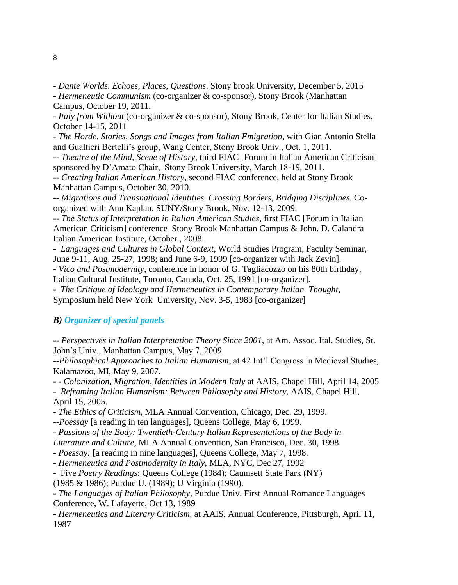- *Dante Worlds. Echoes, Places, Questions*. Stony brook University, December 5, 2015

*- Hermeneutic Communism* (co-organizer & co-sponsor), Stony Brook (Manhattan Campus, October 19, 2011.

- *Italy from Without* (co-organizer & co-sponsor), Stony Brook, Center for Italian Studies, October 14-15, 2011

- *The Horde*. *Stories, Songs and Images from Italian Emigration*, with Gian Antonio Stella and Gualtieri Bertelli's group, Wang Center, Stony Brook Univ., Oct. 1, 2011.

*-- Theatre of the Mind, Scene of History*, third FIAC [Forum in Italian American Criticism] sponsored by D'Amato Chair, Stony Brook University, March 18-19, 2011.

-- *Creating Italian American History*, second FIAC conference, held at Stony Brook Manhattan Campus, October 30, 2010.

-- *Migrations and Transnational Identities. Crossing Borders, Bridging Disciplines*. Coorganized with Ann Kaplan. SUNY/Stony Brook, Nov. 12-13, 2009.

-- *The Status of Interpretation in Italian American Studies*, first FIAC [Forum in Italian American Criticism] conference Stony Brook Manhattan Campus & John. D. Calandra Italian American Institute, October , 2008.

- *Languages and Cultures in Global Context*, World Studies Program, Faculty Seminar, June 9-11, Aug. 25-27, 1998; and June 6-9, 1999 [co-organizer with Jack Zevin].

**-** *Vico and Postmodernity*, conference in honor of G. Tagliacozzo on his 80th birthday, Italian Cultural Institute, Toronto, Canada, Oct. 25, 1991 [co-organizer].

- *The Critique of Ideology and Hermeneutics in Contemporary Italian Thought*,

Symposium held New York University, Nov. 3-5, 1983 [co-organizer]

#### *B) Organizer of special panels*

-- *Perspectives in Italian Interpretation Theory Since 2001*, at Am. Assoc. Ital. Studies, St. John's Univ., Manhattan Campus, May 7, 2009.

*--Philosophical Approaches to Italian Humanism*, at 42 Int'l Congress in Medieval Studies, Kalamazoo, MI, May 9, 2007.

- - *Colonization, Migration, Identities in Modern Italy* at AAIS, Chapel Hill, April 14, 2005

- *Reframing Italian Humanism: Between Philosophy and History*, AAIS, Chapel Hill, April 15, 2005.

*- The Ethics of Criticism*, MLA Annual Convention, Chicago, Dec. 29, 1999.

*--Poessay* [a reading in ten languages], Queens College, May 6, 1999.

- *Passions of the Body: Twentieth-Century Italian Representations of the Body in* 

*Literature and Culture*, MLA Annual Convention, San Francisco, Dec. 30, 1998.

- *Poessay:* [a reading in nine languages], Queens College, May 7, 1998.

- *Hermeneutics and Postmodernity in Italy*, MLA, NYC, Dec 27, 1992

- Five *Poetry Readings*: Queens College (1984); Caumsett State Park (NY)

(1985 & 1986); Purdue U. (1989); U Virginia (1990).

- *The Languages of Italian Philosophy*, Purdue Univ. First Annual Romance Languages Conference, W. Lafayette, Oct 13, 1989

- *Hermeneutics and Literary Criticism*, at AAIS, Annual Conference, Pittsburgh, April 11, 1987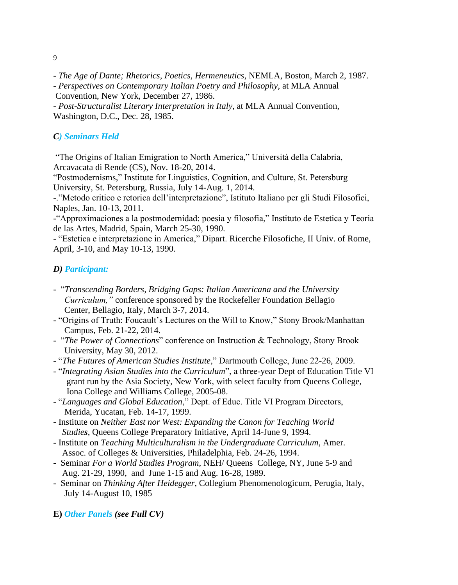9

- *The Age of Dante; Rhetorics, Poetics, Hermeneutics*, NEMLA, Boston, March 2, 1987.

- *Perspectives on Contemporary Italian Poetry and Philosophy*, at MLA Annual

Convention, New York, December 27, 1986.

- *Post-Structuralist Literary Interpretation in Italy*, at MLA Annual Convention, Washington, D.C., Dec. 28, 1985.

## *C) Seminars Held*

"The Origins of Italian Emigration to North America," Università della Calabria, Arcavacata di Rende (CS), Nov. 18-20, 2014.

"Postmodernisms," Institute for Linguistics, Cognition, and Culture, St. Petersburg University, St. Petersburg, Russia, July 14-Aug. 1, 2014.

-."Metodo critico e retorica dell'interpretazione", Istituto Italiano per gli Studi Filosofici, Naples, Jan. 10-13, 2011.

-"Approximaciones a la postmodernidad: poesia y filosofia," Instituto de Estetica y Teoria de las Artes, Madrid, Spain, March 25-30, 1990.

- "Estetica e interpretazione in America," Dipart. Ricerche Filosofiche, II Univ. of Rome, April, 3-10, and May 10-13, 1990.

## *D) Participant:*

- "*Transcending Borders, Bridging Gaps: Italian Americana and the University Curriculum,"* conference sponsored by the Rockefeller Foundation Bellagio Center, Bellagio, Italy, March 3-7, 2014.
- "Origins of Truth: Foucault's Lectures on the Will to Know," Stony Brook/Manhattan Campus, Feb. 21-22, 2014.
- "*The Power of Connections*" conference on Instruction & Technology, Stony Brook University, May 30, 2012.
- "*The Futures of American Studies Institute*," Dartmouth College, June 22-26, 2009.
- "*Integrating Asian Studies into the Curriculum*", a three-year Dept of Education Title VI grant run by the Asia Society, New York, with select faculty from Queens College, Iona College and Williams College, 2005-08.
- "*Languages and Global Education*," Dept. of Educ. Title VI Program Directors, Merida, Yucatan, Feb. 14-17, 1999.
- Institute on *Neither East nor West: Expanding the Canon for Teaching World Studies*, Queens College Preparatory Initiative, April 14-June 9, 1994.
- Institute on *Teaching Multiculturalism in the Undergraduate Curriculum*, Amer. Assoc. of Colleges & Universities, Philadelphia, Feb. 24-26, 1994.
- Seminar *For a World Studies Program*, NEH/ Queens College, NY, June 5-9 and Aug. 21-29, 1990, and June 1-15 and Aug. 16-28, 1989.
- Seminar on *Thinking After Heidegger*, Collegium Phenomenologicum, Perugia, Italy, July 14-August 10, 1985

**E)** *Other Panels (see Full CV)*